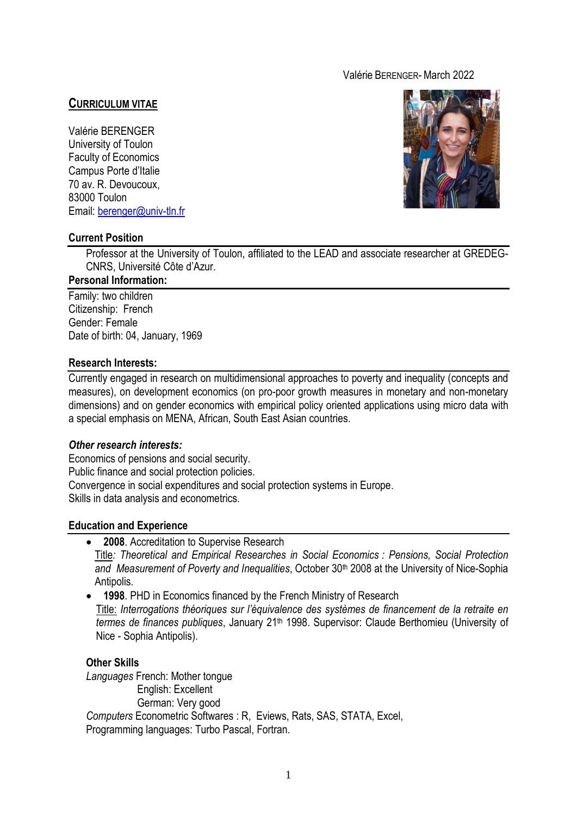## Valérie BERENGER- March 2022

## **CURRICULUM VITAE**

Valérie BERENGER University of Toulon Faculty of Economics Campus Porte d'Italie 70 av. R. Devoucoux, 83000 Toulon Email: [berenger@univ-tln.fr](mailto:berenger@univ-tln.fr)



### **Current Position**

Professor at the University of Toulon, affiliated to the LEAD and associate researcher at GREDEG-CNRS, Université Côte d'Azur.

#### **Personal Information:**

Family: two children Citizenship: French Gender: Female Date of birth: 04, January, 1969

#### **Research Interests:**

Currently engaged in research on multidimensional approaches to poverty and inequality (concepts and measures), on development economics (on pro-poor growth measures in monetary and non-monetary dimensions) and on gender economics with empirical policy oriented applications using micro data with a special emphasis on MENA, African, South East Asian countries.

### *Other research interests:*

Economics of pensions and social security. Public finance and social protection policies. Convergence in social expenditures and social protection systems in Europe. Skills in data analysis and econometrics.

### **Education and Experience**

**2008**. Accreditation to Supervise Research

Title*: Theoretical and Empirical Researches in Social Economics : Pensions, Social Protection*  and Measurement of Poverty and Inequalities, October 30<sup>th</sup> 2008 at the University of Nice-Sophia Antipolis.

 **1998**. PHD in Economics financed by the French Ministry of Research Title: *Interrogations théoriques sur l'équivalence des systèmes de financement de la retraite en termes de finances publiques*, January 21th 1998. Supervisor: Claude Berthomieu (University of Nice - Sophia Antipolis).

## **Other Skills**

*Languages* French: Mother tongue English: Excellent German: Very good *Computers* Econometric Softwares : R, Eviews, Rats, SAS, STATA, Excel, Programming languages: Turbo Pascal, Fortran.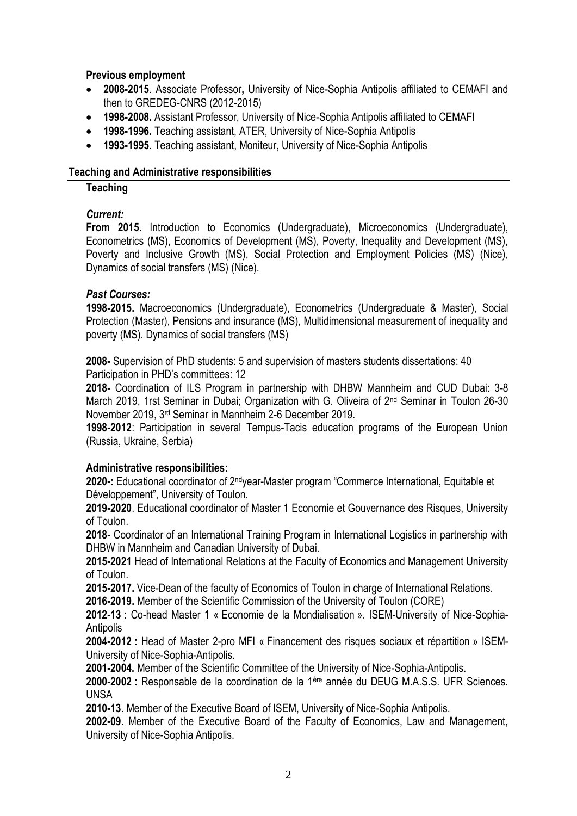## **Previous employment**

- **2008-2015**. Associate Professor**,** University of Nice-Sophia Antipolis affiliated to CEMAFI and then to GREDEG-CNRS (2012-2015)
- **1998-2008.** Assistant Professor, University of Nice-Sophia Antipolis affiliated to CEMAFI
- **1998-1996.** Teaching assistant, ATER, University of Nice-Sophia Antipolis
- **1993-1995**. Teaching assistant, Moniteur, University of Nice-Sophia Antipolis

## **Teaching and Administrative responsibilities**

## **Teaching**

# *Current:*

**From 2015**. Introduction to Economics (Undergraduate), Microeconomics (Undergraduate), Econometrics (MS), Economics of Development (MS), Poverty, Inequality and Development (MS), Poverty and Inclusive Growth (MS), Social Protection and Employment Policies (MS) (Nice), Dynamics of social transfers (MS) (Nice).

## *Past Courses:*

**1998-2015.** Macroeconomics (Undergraduate), Econometrics (Undergraduate & Master), Social Protection (Master), Pensions and insurance (MS), Multidimensional measurement of inequality and poverty (MS). Dynamics of social transfers (MS)

**2008-** Supervision of PhD students: 5 and supervision of masters students dissertations: 40 Participation in PHD's committees: 12

**2018-** Coordination of ILS Program in partnership with DHBW Mannheim and CUD Dubai: 3-8 March 2019, 1rst Seminar in Dubai; Organization with G. Oliveira of 2nd Seminar in Toulon 26-30 November 2019, 3rd Seminar in Mannheim 2-6 December 2019.

**1998-2012**: Participation in several Tempus-Tacis education programs of the European Union (Russia, Ukraine, Serbia)

# **Administrative responsibilities:**

**2020-:** Educational coordinator of 2ndyear-Master program "Commerce International, Equitable et Développement", University of Toulon.

**2019-2020**. Educational coordinator of Master 1 Economie et Gouvernance des Risques, University of Toulon.

**2018-** Coordinator of an International Training Program in International Logistics in partnership with DHBW in Mannheim and Canadian University of Dubai.

**2015-2021** Head of International Relations at the Faculty of Economics and Management University of Toulon.

**2015-2017.** Vice-Dean of the faculty of Economics of Toulon in charge of International Relations.

**2016-2019.** Member of the Scientific Commission of the University of Toulon (CORE)

**2012-13 :** Co-head Master 1 « Economie de la Mondialisation ». ISEM-University of Nice-Sophia-Antipolis

**2004-2012 :** Head of Master 2-pro MFI « Financement des risques sociaux et répartition » ISEM-University of Nice-Sophia-Antipolis.

**2001-2004.** Member of the Scientific Committee of the University of Nice-Sophia-Antipolis.

**2000-2002 :** Responsable de la coordination de la 1ère année du DEUG M.A.S.S. UFR Sciences. UNSA

**2010-13**. Member of the Executive Board of ISEM, University of Nice-Sophia Antipolis.

**2002-09.** Member of the Executive Board of the Faculty of Economics, Law and Management, University of Nice-Sophia Antipolis.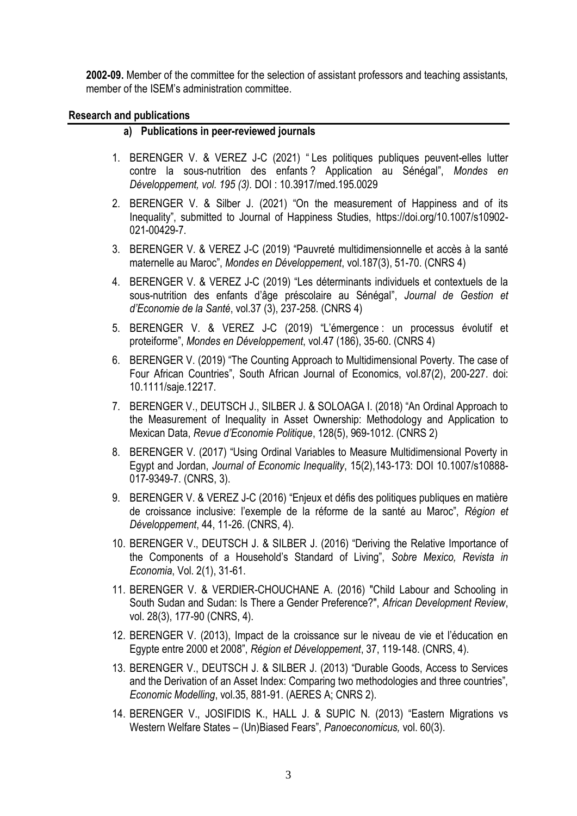**2002-09.** Member of the committee for the selection of assistant professors and teaching assistants, member of the ISEM's administration committee.

### **Research and publications**

### **a) Publications in peer-reviewed journals**

- 1. BERENGER V. & VEREZ J-C (2021) " Les politiques publiques peuvent-elles lutter contre la sous-nutrition des enfants ? Application au Sénégal", *Mondes en Développement, vol. 195 (3).* DOI : 10.3917/med.195.0029
- 2. BERENGER V. & Silber J. (2021) "On the measurement of Happiness and of its Inequality", submitted to Journal of Happiness Studies, https://doi.org/10.1007/s10902- 021-00429-7*.*
- 3. BERENGER V. & VEREZ J-C (2019) "Pauvreté multidimensionnelle et accès à la santé maternelle au Maroc", *Mondes en Développement*, vol.187(3), 51-70. (CNRS 4)
- 4. BERENGER V. & VEREZ J-C (2019) "Les déterminants individuels et contextuels de la sous-nutrition des enfants d'âge préscolaire au Sénégal", *Journal de Gestion et d'Economie de la Santé*, vol.37 (3), 237-258. (CNRS 4)
- 5. BERENGER V. & VEREZ J-C (2019) "L'émergence : un processus évolutif et proteiforme", *Mondes en Développement*, vol.47 (186), 35-60. (CNRS 4)
- 6. BERENGER V. (2019) "The Counting Approach to Multidimensional Poverty. The case of Four African Countries", South African Journal of Economics, vol.87(2), 200-227. doi: 10.1111/saje.12217.
- 7. BERENGER V., DEUTSCH J., SILBER J. & SOLOAGA I. (2018) "An Ordinal Approach to the Measurement of Inequality in Asset Ownership: Methodology and Application to Mexican Data, *Revue d'Economie Politique*, 128(5), 969-1012. (CNRS 2)
- 8. BERENGER V. (2017) "Using Ordinal Variables to Measure Multidimensional Poverty in Egypt and Jordan, *Journal of Economic Inequality*, 15(2),143-173: DOI 10.1007/s10888- 017-9349-7. (CNRS, 3).
- 9. BERENGER V. & VEREZ J-C (2016) "Enjeux et défis des politiques publiques en matière de croissance inclusive: l'exemple de la réforme de la santé au Maroc", *Région et Développement*, 44, 11-26. (CNRS, 4).
- 10. BERENGER V., DEUTSCH J. & SILBER J. (2016) "Deriving the Relative Importance of the Components of a Household's Standard of Living", *Sobre Mexico, Revista in Economia*, Vol. 2(1), 31-61.
- 11. BERENGER V. & VERDIER-CHOUCHANE A. (2016) "Child Labour and Schooling in South Sudan and Sudan: Is There a Gender Preference?", *African Development Review*, vol. 28(3), 177-90 (CNRS, 4).
- 12. BERENGER V. (2013), Impact de la croissance sur le niveau de vie et l'éducation en Egypte entre 2000 et 2008", *Région et Développement*, 37, 119-148. (CNRS, 4).
- 13. BERENGER V., DEUTSCH J. & SILBER J. (2013) "Durable Goods, Access to Services and the Derivation of an Asset Index: Comparing two methodologies and three countries", *Economic Modelling*, vol.35, 881-91. (AERES A; CNRS 2).
- 14. BERENGER V., JOSIFIDIS K., HALL J. & SUPIC N. (2013) "Eastern Migrations vs Western Welfare States – (Un)Biased Fears", *Panoeconomicus,* vol. 60(3).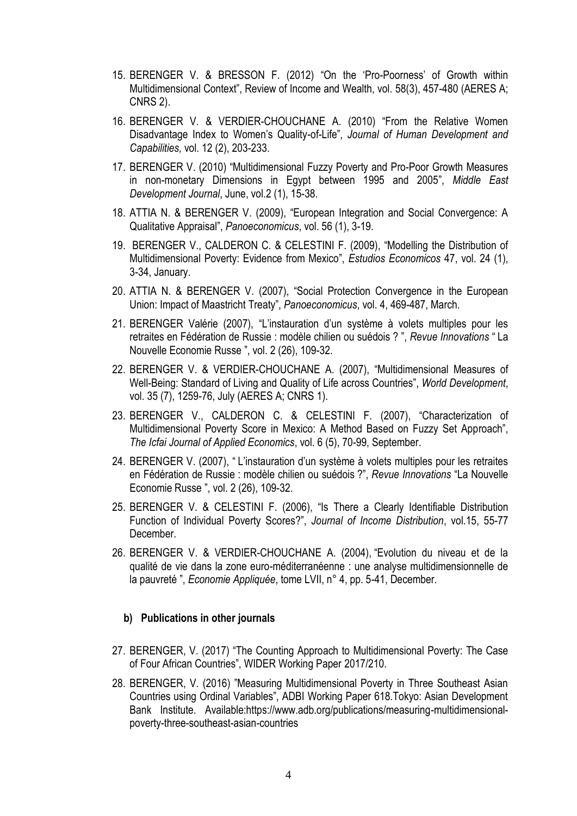- 15. BERENGER V. & BRESSON F. (2012) "On the 'Pro-Poorness' of Growth within Multidimensional Context", Review of Income and Wealth, vol. 58(3), 457-480 (AERES A; CNRS 2).
- 16. BERENGER V. & VERDIER-CHOUCHANE A. (2010) "From the Relative Women Disadvantage Index to Women's Quality-of-Life", *Journal of Human Development and Capabilities,* vol. 12 (2), 203-233.
- 17. BERENGER V. (2010) "Multidimensional Fuzzy Poverty and Pro-Poor Growth Measures in non-monetary Dimensions in Egypt between 1995 and 2005", *Middle East Development Journal*, June, vol.2 (1), 15-38.
- 18. ATTIA N. & BERENGER V. (2009), "European Integration and Social Convergence: A Qualitative Appraisal", *Panoeconomicus*, vol. 56 (1), 3-19.
- 19. BERENGER V., CALDERON C. & CELESTINI F. (2009), "Modelling the Distribution of Multidimensional Poverty: Evidence from Mexico", *Estudios Economicos* 47, vol. 24 (1), 3-34, January.
- 20. ATTIA N. & BERENGER V. (2007), "Social Protection Convergence in the European Union: Impact of Maastricht Treaty", *Panoeconomicus*, vol. 4, 469-487, March.
- 21. BERENGER Valérie (2007), "L'instauration d'un système à volets multiples pour les retraites en Fédération de Russie : modèle chilien ou suédois ? ", *Revue Innovations* " La Nouvelle Economie Russe ", vol. 2 (26), 109-32.
- 22. BERENGER V. & VERDIER-CHOUCHANE A. (2007), "Multidimensional Measures of Well-Being: Standard of Living and Quality of Life across Countries", *World Development*, vol. 35 (7), 1259-76, July (AERES A; CNRS 1).
- 23. BERENGER V., CALDERON C. & CELESTINI F. (2007), "Characterization of Multidimensional Poverty Score in Mexico: A Method Based on Fuzzy Set Approach", *The Icfai Journal of Applied Economics*, vol. 6 (5), 70-99, September.
- 24. BERENGER V. (2007), " L'instauration d'un système à volets multiples pour les retraites en Fédération de Russie : modèle chilien ou suédois ?", *Revue Innovations* "La Nouvelle Economie Russe ", vol. 2 (26), 109-32.
- 25. BERENGER V. & CELESTINI F. (2006), "Is There a Clearly Identifiable Distribution Function of Individual Poverty Scores?", *Journal of Income Distribution*, vol.15, 55-77 December.
- 26. BERENGER V. & VERDIER-CHOUCHANE A. (2004), "Evolution du niveau et de la qualité de vie dans la zone euro-méditerranéenne : une analyse multidimensionnelle de la pauvreté ", *Economie Appliquée*, tome LVII, n° 4, pp. 5-41, December.

### **b) Publications in other journals**

- 27. BERENGER, V. (2017) "The Counting Approach to Multidimensional Poverty: The Case of Four African Countries", WIDER Working Paper 2017/210.
- 28. BERENGER, V. (2016) "Measuring Multidimensional Poverty in Three Southeast Asian Countries using Ordinal Variables", ADBI Working Paper 618.Tokyo: Asian Development Bank Institute. Available:https://www.adb.org/publications/measuring-multidimensionalpoverty-three-southeast-asian-countries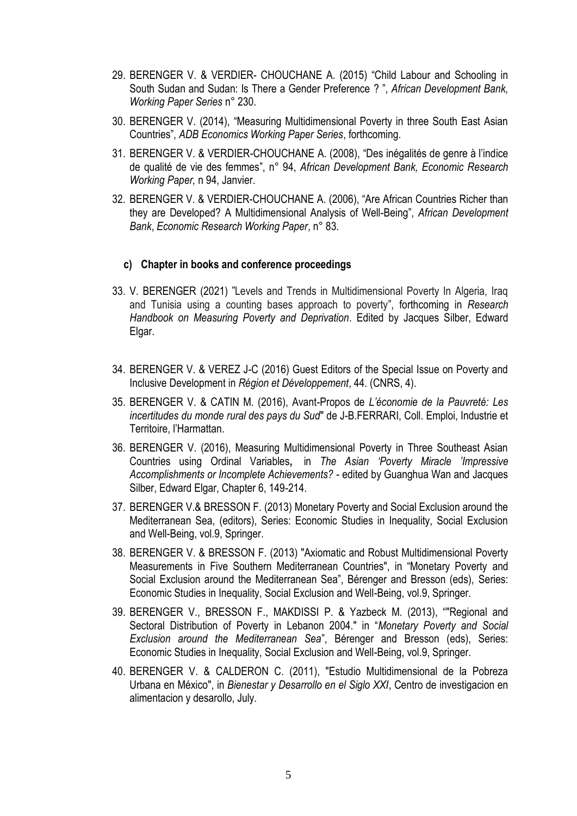- 29. BERENGER V. & VERDIER- CHOUCHANE A. (2015) "Child Labour and Schooling in South Sudan and Sudan: Is There a Gender Preference ? ", *African Development Bank, Working Paper Series* n° 230.
- 30. BERENGER V. (2014), "Measuring Multidimensional Poverty in three South East Asian Countries", *ADB Economics Working Paper Series*, forthcoming.
- 31. BERENGER V. & VERDIER-CHOUCHANE A. (2008), "Des inégalités de genre à l'indice de qualité de vie des femmes", n° 94, *African Development Bank, Economic Research Working Paper,* n 94, Janvier.
- 32. BERENGER V. & VERDIER-CHOUCHANE A. (2006), "Are African Countries Richer than they are Developed? A Multidimensional Analysis of Well-Being", *African Development Bank*, *Economic Research Working Paper*, n° 83.

### **c) Chapter in books and conference proceedings**

- 33. V. BERENGER (2021) "Levels and Trends in Multidimensional Poverty In Algeria, Iraq and Tunisia using a counting bases approach to poverty", forthcoming in *Research Handbook on Measuring Poverty and Deprivation*. Edited by Jacques Silber, Edward Elgar.
- 34. BERENGER V. & VEREZ J-C (2016) Guest Editors of the Special Issue on Poverty and Inclusive Development in *Région et Développement*, 44. (CNRS, 4).
- 35. BERENGER V. & CATIN M. (2016), Avant-Propos de *L'économie de la Pauvreté: Les incertitudes du monde rural des pays du Sud*" de J-B.FERRARI, Coll. Emploi, Industrie et Territoire, l'Harmattan.
- 36. BERENGER V. (2016), Measuring Multidimensional Poverty in Three Southeast Asian Countries using Ordinal Variables**,** in *The Asian 'Poverty Miracle 'Impressive Accomplishments or Incomplete Achievements?* - edited by Guanghua Wan and Jacques Silber, Edward Elgar, Chapter 6, 149-214.
- 37. BERENGER V.& BRESSON F. (2013) Monetary Poverty and Social Exclusion around the Mediterranean Sea, (editors), Series: Economic Studies in Inequality, Social Exclusion and Well-Being, vol.9, Springer.
- 38. BERENGER V. & BRESSON F. (2013) "Axiomatic and Robust Multidimensional Poverty Measurements in Five Southern Mediterranean Countries", in "Monetary Poverty and Social Exclusion around the Mediterranean Sea", Bérenger and Bresson (eds), Series: Economic Studies in Inequality, Social Exclusion and Well-Being, vol.9, Springer.
- 39. BERENGER V., BRESSON F., MAKDISSI P. & Yazbeck M. (2013), ""Regional and Sectoral Distribution of Poverty in Lebanon 2004." in "*Monetary Poverty and Social Exclusion around the Mediterranean Sea*", Bérenger and Bresson (eds), Series: Economic Studies in Inequality, Social Exclusion and Well-Being, vol.9, Springer.
- 40. BERENGER V. & CALDERON C. (2011), "Estudio Multidimensional de la Pobreza Urbana en México", in *Bienestar y Desarrollo en el Siglo XXI*, Centro de investigacion en alimentacion y desarollo, July.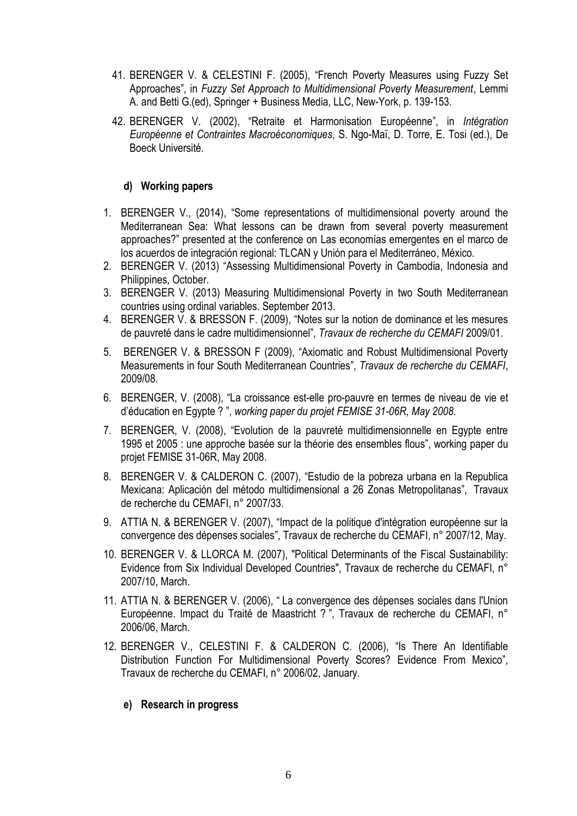- 41. BERENGER V. & CELESTINI F. (2005), "French Poverty Measures using Fuzzy Set Approaches", in *Fuzzy Set Approach to Multidimensional Poverty Measurement*, Lemmi A. and Betti G.(ed), Springer + Business Media, LLC, New-York, p. 139-153.
- 42. BERENGER V. (2002), "Retraite et Harmonisation Européenne", in *Intégration Européenne et Contraintes Macroéconomiques*, S. Ngo-Maï, D. Torre, E. Tosi (ed.), De Boeck Université.

## **d) Working papers**

- 1. BERENGER V., (2014), "Some representations of multidimensional poverty around the Mediterranean Sea: What lessons can be drawn from several poverty measurement approaches?" presented at the conference on Las economías emergentes en el marco de los acuerdos de integración regional: TLCAN y Unión para el Mediterráneo, México.
- 2. BERENGER V. (2013) "Assessing Multidimensional Poverty in Cambodia, Indonesia and Philippines, October.
- 3. BERENGER V. (2013) Measuring Multidimensional Poverty in two South Mediterranean countries using ordinal variables. September 2013.
- 4. BERENGER V. & BRESSON F. (2009), "Notes sur la notion de dominance et les mesures de pauvreté dans le cadre multidimensionnel", *Travaux de recherche du CEMAFI* 2009/01.
- 5. BERENGER V. & BRESSON F (2009), "Axiomatic and Robust Multidimensional Poverty Measurements in four South Mediterranean Countries", *Travaux de recherche du CEMAFI*, 2009/08.
- 6. BERENGER, V. (2008), "La croissance est-elle pro-pauvre en termes de niveau de vie et d'éducation en Egypte ? ", *working paper du projet FEMISE 31-06R, May 2008*.
- 7. BERENGER, V. (2008), "Evolution de la pauvreté multidimensionnelle en Egypte entre 1995 et 2005 : une approche basée sur la théorie des ensembles flous", working paper du projet FEMISE 31-06R, May 2008.
- 8. BERENGER V. & CALDERON C. (2007), "Estudio de la pobreza urbana en la Republica Mexicana: Aplicación del método multidimensional a 26 Zonas Metropolitanas", Travaux de recherche du CEMAFI, n° 2007/33.
- 9. ATTIA N. & BERENGER V. (2007), "Impact de la politique d'intégration européenne sur la convergence des dépenses sociales", Travaux de recherche du CEMAFI, n° 2007/12, May.
- 10. BERENGER V. & LLORCA M. (2007), "Political Determinants of the Fiscal Sustainability: Evidence from Six Individual Developed Countries", Travaux de recherche du CEMAFI, n° 2007/10, March.
- 11. ATTIA N. & BERENGER V. (2006), " La convergence des dépenses sociales dans l'Union Européenne. Impact du Traité de Maastricht ? ", Travaux de recherche du CEMAFI, n° 2006/06, March.
- 12. BERENGER V., CELESTINI F. & CALDERON C. (2006), "Is There An Identifiable Distribution Function For Multidimensional Poverty Scores? Evidence From Mexico", Travaux de recherche du CEMAFI, n° 2006/02, January.

## **e) Research in progress**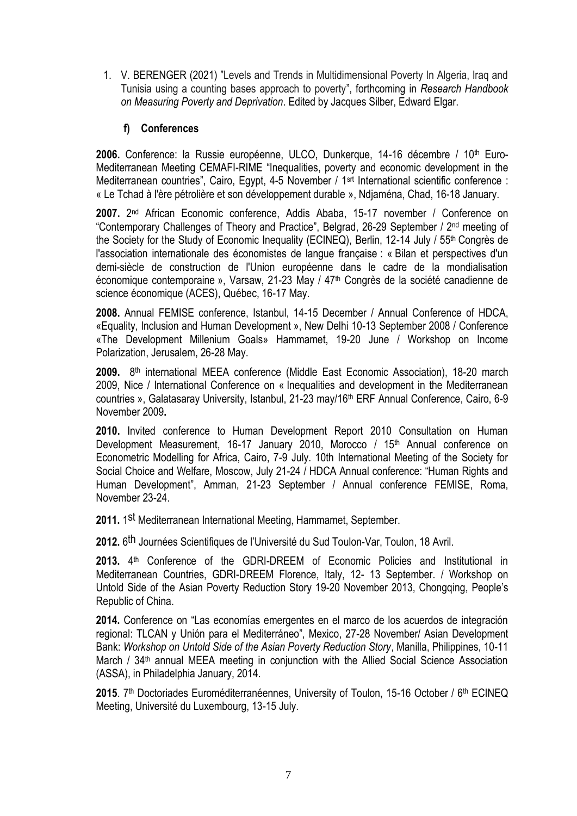1. V. BERENGER (2021) "Levels and Trends in Multidimensional Poverty In Algeria, Iraq and Tunisia using a counting bases approach to poverty", forthcoming in *Research Handbook on Measuring Poverty and Deprivation*. Edited by Jacques Silber, Edward Elgar.

## **f) Conferences**

2006. Conference: la Russie européenne, ULCO, Dunkerque, 14-16 décembre / 10<sup>th</sup> Euro-Mediterranean Meeting CEMAFI-RIME "Inequalities, poverty and economic development in the Mediterranean countries", Cairo, Egypt, 4-5 November / 1<sup>srt</sup> International scientific conference : « Le Tchad à l'ère pétrolière et son développement durable », Ndjaména, Chad, 16-18 January.

**2007.** 2 nd African Economic conference, Addis Ababa, 15-17 november / Conference on "Contemporary Challenges of Theory and Practice", Belgrad, 26-29 September / 2nd meeting of the Society for the Study of Economic Inequality (ECINEQ), Berlin, 12-14 July / 55th Congrès de l'association internationale des économistes de langue française : « Bilan et perspectives d'un demi-siècle de construction de l'Union européenne dans le cadre de la mondialisation économique contemporaine », Varsaw, 21-23 May /  $47<sup>th</sup>$  Congrès de la société canadienne de science économique (ACES), Québec, 16-17 May.

**2008.** Annual FEMISE conference, Istanbul, 14-15 December / Annual Conference of HDCA, «Equality, Inclusion and Human Development », New Delhi 10-13 September 2008 / Conference «The Development Millenium Goals» Hammamet, 19-20 June / Workshop on Income Polarization, Jerusalem, 26-28 May.

2009. 8<sup>th</sup> international MEEA conference (Middle East Economic Association), 18-20 march 2009, Nice / International Conference on « Inequalities and development in the Mediterranean countries », Galatasaray University, Istanbul, 21-23 may/16<sup>th</sup> ERF Annual Conference, Cairo, 6-9 November 2009**.**

**2010.** Invited conference to Human Development Report 2010 Consultation on Human Development Measurement, 16-17 January 2010, Morocco / 15<sup>th</sup> Annual conference on Econometric Modelling for Africa, Cairo, 7-9 July. 10th International Meeting of the Society for Social Choice and Welfare, Moscow, July 21-24 / HDCA Annual conference: "Human Rights and Human Development", Amman, 21-23 September / Annual conference FEMISE, Roma, November 23-24.

2011. 1<sup>st</sup> Mediterranean International Meeting, Hammamet, September.

**2012.** 6 th Journées Scientifiques de l'Université du Sud Toulon-Var, Toulon, 18 Avril.

2013. 4<sup>th</sup> Conference of the GDRI-DREEM of Economic Policies and Institutional in Mediterranean Countries, GDRI-DREEM Florence, Italy, 12- 13 September. / Workshop on Untold Side of the Asian Poverty Reduction Story 19-20 November 2013, Chongqing, People's Republic of China.

**2014.** Conference on "Las economías emergentes en el marco de los acuerdos de integración regional: TLCAN y Unión para el Mediterráneo", Mexico, 27-28 November/ Asian Development Bank: *Workshop on Untold Side of the Asian Poverty Reduction Story*, Manilla, Philippines, 10-11 March / 34<sup>th</sup> annual MEEA meeting in conjunction with the Allied Social Science Association (ASSA), in Philadelphia January, 2014.

2015. 7<sup>th</sup> Doctoriades Euroméditerranéennes, University of Toulon, 15-16 October / 6<sup>th</sup> ECINEQ Meeting, Université du Luxembourg, 13-15 July.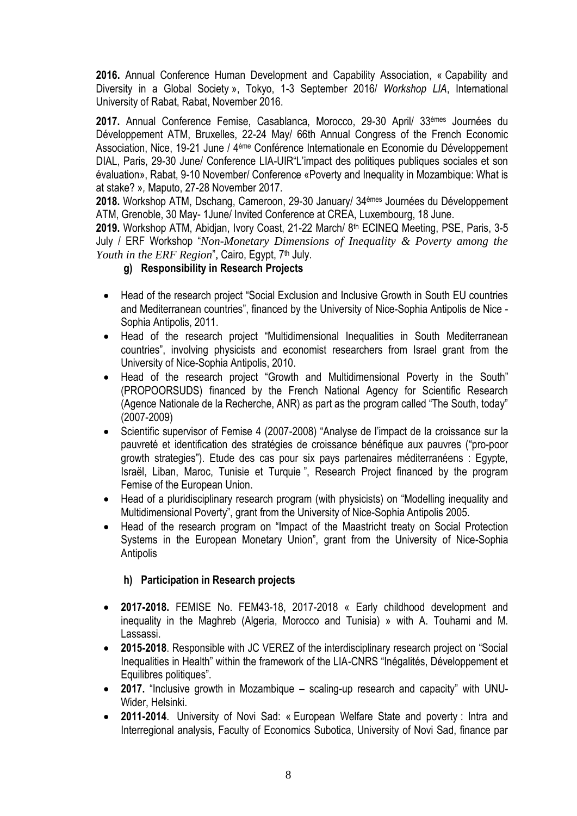**2016.** Annual Conference Human Development and Capability Association, « Capability and Diversity in a Global Society », Tokyo, 1-3 September 2016/ *Workshop LIA*, International University of Rabat, Rabat, November 2016.

**2017.** Annual Conference Femise, Casablanca, Morocco, 29-30 April/ 33èmes Journées du Développement ATM, Bruxelles, 22-24 May/ 66th Annual Congress of the French Economic Association, Nice, 19-21 June / 4ème Conférence Internationale en Economie du Développement DIAL, Paris, 29-30 June/ Conference LIA-UIR"L'impact des politiques publiques sociales et son évaluation», Rabat, 9-10 November/ Conference «Poverty and Inequality in Mozambique: What is at stake? »*,* Maputo, 27-28 November 2017.

**2018.** Workshop ATM, Dschang, Cameroon, 29-30 January/ 34èmes Journées du Développement ATM, Grenoble, 30 May- 1June/ Invited Conference at CREA, Luxembourg, 18 June.

**2019.** Workshop ATM, Abidjan, Ivory Coast, 21-22 March/ 8 th ECINEQ Meeting, PSE, Paris, 3-5 July / ERF Workshop "*Non-Monetary Dimensions of Inequality & Poverty among the Youth in the ERF Region*", Cairo, Egypt, 7<sup>th</sup> July.

## **g) Responsibility in Research Projects**

- Head of the research project "Social Exclusion and Inclusive Growth in South EU countries and Mediterranean countries", financed by the University of Nice-Sophia Antipolis de Nice - Sophia Antipolis, 2011.
- Head of the research project "Multidimensional Inequalities in South Mediterranean countries", involving physicists and economist researchers from Israel grant from the University of Nice-Sophia Antipolis, 2010.
- Head of the research project "Growth and Multidimensional Poverty in the South" (PROPOORSUDS) financed by the French National Agency for Scientific Research (Agence Nationale de la Recherche, ANR) as part as the program called "The South, today" (2007-2009)
- Scientific supervisor of Femise 4 (2007-2008) "Analyse de l'impact de la croissance sur la pauvreté et identification des stratégies de croissance bénéfique aux pauvres ("pro-poor growth strategies"). Etude des cas pour six pays partenaires méditerranéens : Egypte, Israël, Liban, Maroc, Tunisie et Turquie ", Research Project financed by the program Femise of the European Union.
- Head of a pluridisciplinary research program (with physicists) on "Modelling inequality and Multidimensional Poverty", grant from the University of Nice-Sophia Antipolis 2005.
- Head of the research program on "Impact of the Maastricht treaty on Social Protection Systems in the European Monetary Union", grant from the University of Nice-Sophia **Antipolis**

## **h) Participation in Research projects**

- **2017-2018.** FEMISE No. FEM43-18, 2017-2018 « Early childhood development and inequality in the Maghreb (Algeria, Morocco and Tunisia) » with A. Touhami and M. Lassassi.
- **2015-2018**. Responsible with JC VEREZ of the interdisciplinary research project on "Social Inequalities in Health" within the framework of the LIA-CNRS "Inégalités, Développement et Equilibres politiques".
- **2017.** "Inclusive growth in Mozambique scaling-up research and capacity" with UNU-Wider, Helsinki.
- **2011-2014**. University of Novi Sad: « European Welfare State and poverty : Intra and Interregional analysis, Faculty of Economics Subotica, University of Novi Sad, finance par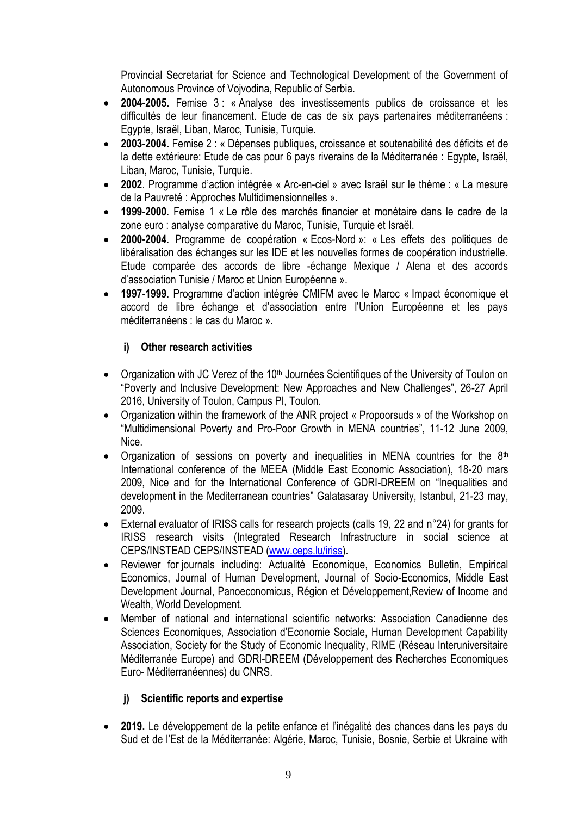Provincial Secretariat for Science and Technological Development of the Government of Autonomous Province of Vojvodina, Republic of Serbia.

- **2004-2005.** Femise 3 : « Analyse des investissements publics de croissance et les difficultés de leur financement. Etude de cas de six pays partenaires méditerranéens : Egypte, Israël, Liban, Maroc, Tunisie, Turquie.
- **2003**-**2004.** Femise 2 : « Dépenses publiques, croissance et soutenabilité des déficits et de la dette extérieure: Etude de cas pour 6 pays riverains de la Méditerranée : Egypte, Israël, Liban, Maroc, Tunisie, Turquie.
- **2002**. Programme d'action intégrée « Arc-en-ciel » avec Israël sur le thème : « La mesure de la Pauvreté : Approches Multidimensionnelles ».
- **1999-2000**. Femise 1 « Le rôle des marchés financier et monétaire dans le cadre de la zone euro : analyse comparative du Maroc, Tunisie, Turquie et Israël.
- **2000-2004**. Programme de coopération « Ecos-Nord »: « Les effets des politiques de libéralisation des échanges sur les IDE et les nouvelles formes de coopération industrielle. Etude comparée des accords de libre -échange Mexique / Alena et des accords d'association Tunisie / Maroc et Union Européenne ».
- **1997-1999**. Programme d'action intégrée CMIFM avec le Maroc « Impact économique et accord de libre échange et d'association entre l'Union Européenne et les pays méditerranéens : le cas du Maroc ».

# **i) Other research activities**

- Organization with JC Verez of the 10<sup>th</sup> Journées Scientifiques of the University of Toulon on "Poverty and Inclusive Development: New Approaches and New Challenges", 26-27 April 2016, University of Toulon, Campus PI, Toulon.
- Organization within the framework of the ANR project « Propoorsuds » of the Workshop on "Multidimensional Poverty and Pro-Poor Growth in MENA countries", 11-12 June 2009, Nice.
- Organization of sessions on poverty and inequalities in MENA countries for the  $8<sup>th</sup>$ International conference of the MEEA (Middle East Economic Association), 18-20 mars 2009, Nice and for the International Conference of GDRI-DREEM on "Inequalities and development in the Mediterranean countries" Galatasaray University, Istanbul, 21-23 may, 2009.
- External evaluator of IRISS calls for research projects (calls 19, 22 and n°24) for grants for IRISS research visits (Integrated Research Infrastructure in social science at CEPS/INSTEAD CEPS/INSTEAD [\(www.ceps.lu/iriss\)](http://www.ceps.lu/iriss).
- Reviewer for journals including: Actualité Economique, Economics Bulletin, Empirical Economics, Journal of Human Development, Journal of Socio-Economics, Middle East Development Journal, Panoeconomicus, Région et Développement,Review of Income and Wealth, World Development.
- Member of national and international scientific networks: Association Canadienne des Sciences Economiques, Association d'Economie Sociale, Human Development Capability Association, Society for the Study of Economic Inequality, RIME (Réseau Interuniversitaire Méditerranée Europe) and GDRI-DREEM (Développement des Recherches Economiques Euro- Méditerranéennes) du CNRS.

# **j) Scientific reports and expertise**

 **2019.** Le développement de la petite enfance et l'inégalité des chances dans les pays du Sud et de l'Est de la Méditerranée: Algérie, Maroc, Tunisie, Bosnie, Serbie et Ukraine with